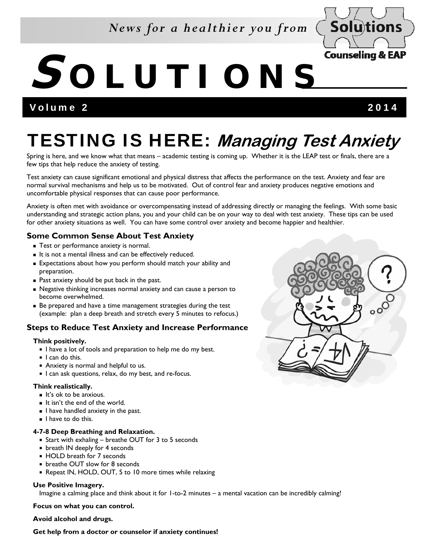### *News for a healthier you from*



# **S OLUTIONS**

Volume 2 2014

## TESTING IS HERE: **Managing Test Anxiety**

Spring is here, and we know what that means – academic testing is coming up. Whether it is the LEAP test or finals, there are a few tips that help reduce the anxiety of testing.

Test anxiety can cause significant emotional and physical distress that affects the performance on the test. Anxiety and fear are normal survival mechanisms and help us to be motivated. Out of control fear and anxiety produces negative emotions and uncomfortable physical responses that can cause poor performance.

Anxiety is often met with avoidance or overcompensating instead of addressing directly or managing the feelings. With some basic understanding and strategic action plans, you and your child can be on your way to deal with test anxiety. These tips can be used for other anxiety situations as well. You can have some control over anxiety and become happier and healthier.

#### **Some Common Sense About Test Anxiety**

- **Test or performance anxiety is normal.**
- It is not a mental illness and can be effectively reduced.
- Expectations about how you perform should match your ability and preparation.
- **Past anxiety should be put back in the past.**
- Negative thinking increases normal anxiety and can cause a person to become overwhelmed.
- Be prepared and have a time management strategies during the test (example: plan a deep breath and stretch every 5 minutes to refocus.)

#### **Steps to Reduce Test Anxiety and Increase Performance**

#### **Think positively.**

- I have a lot of tools and preparation to help me do my best.
- $\blacksquare$  I can do this.
- Anxiety is normal and helpful to us.
- I can ask questions, relax, do my best, and re-focus.

#### **Think realistically.**

- It's ok to be anxious.
- It isn't the end of the world.
- $\blacksquare$  I have handled anxiety in the past.
- I have to do this.

#### **4-7-8 Deep Breathing and Relaxation.**

- Start with exhaling breathe OUT for 3 to 5 seconds
- **Death IN deeply for 4 seconds**
- HOLD breath for 7 seconds
- **DED** breathe OUT slow for 8 seconds
- Repeat IN, HOLD, OUT, 5 to 10 more times while relaxing

#### **Use Positive Imagery.**

Imagine a calming place and think about it for 1-to-2 minutes – a mental vacation can be incredibly calming!

**Focus on what you can control.** 

**Avoid alcohol and drugs.** 

**Get help from a doctor or counselor if anxiety continues!**